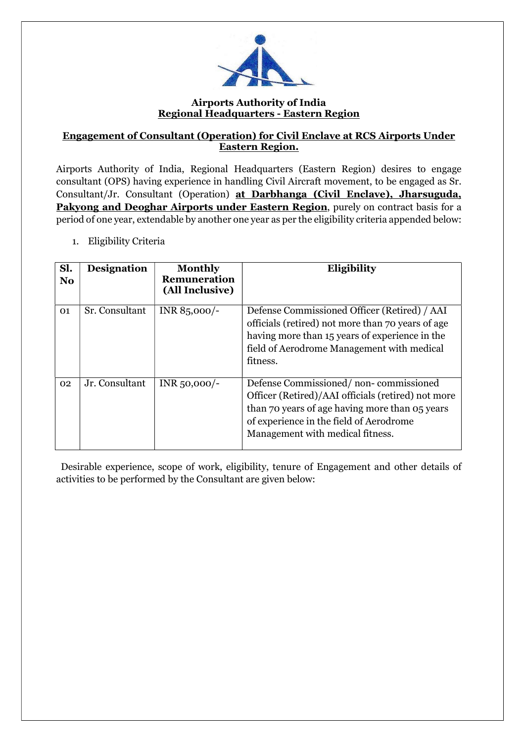

#### Airports Authority of India Regional Headquarters - Eastern Region

#### Engagement of Consultant (Operation) for Civil Enclave at RCS Airports Under Eastern Region.

Airports Authority of India, Regional Headquarters (Eastern Region) desires to engage consultant (OPS) having experience in handling Civil Aircraft movement, to be engaged as Sr. Consultant/Jr. Consultant (Operation) at Darbhanga (Civil Enclave), Jharsuguda, Pakyong and Deoghar Airports under Eastern Region, purely on contract basis for a period of one year, extendable by another one year as per the eligibility criteria appended below:

1. Eligibility Criteria

| Sl.<br>N <sub>o</sub> | <b>Designation</b> | <b>Monthly</b><br>Remuneration<br>(All Inclusive) | Eligibility                                                                                                                                                                                                                  |
|-----------------------|--------------------|---------------------------------------------------|------------------------------------------------------------------------------------------------------------------------------------------------------------------------------------------------------------------------------|
| 01                    | Sr. Consultant     | INR 85,000/-                                      | Defense Commissioned Officer (Retired) / AAI<br>officials (retired) not more than 70 years of age<br>having more than 15 years of experience in the<br>field of Aerodrome Management with medical<br>fitness.                |
| 02                    | Jr. Consultant     | $INR_{50,000/-}$                                  | Defense Commissioned/non-commissioned<br>Officer (Retired)/AAI officials (retired) not more<br>than 70 years of age having more than 05 years<br>of experience in the field of Aerodrome<br>Management with medical fitness. |

 Desirable experience, scope of work, eligibility, tenure of Engagement and other details of activities to be performed by the Consultant are given below: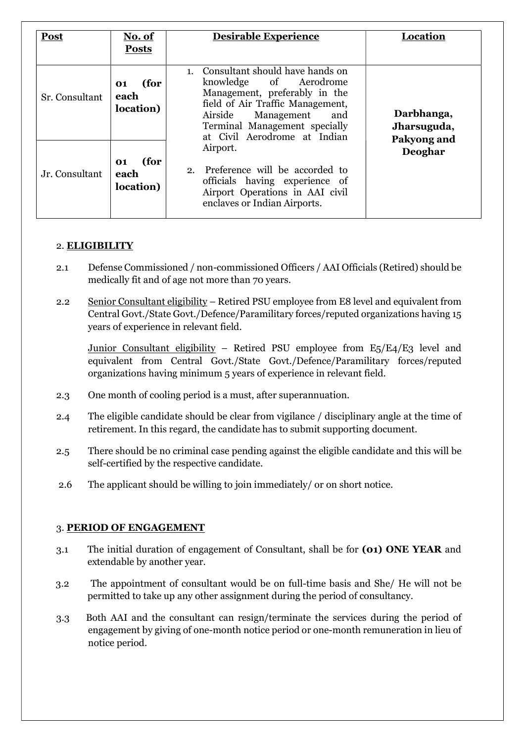| Post           | No. of<br><b>Posts</b>          | <b>Desirable Experience</b>                                                                                                                                                                                                        | Location                                 |  |
|----------------|---------------------------------|------------------------------------------------------------------------------------------------------------------------------------------------------------------------------------------------------------------------------------|------------------------------------------|--|
| Sr. Consultant | (for<br>01<br>each<br>location) | 1. Consultant should have hands on<br>knowledge of Aerodrome<br>Management, preferably in the<br>field of Air Traffic Management,<br>Airside<br>Management<br>and<br>Terminal Management specially<br>at Civil Aerodrome at Indian | Darbhanga,<br>Jharsuguda,<br>Pakyong and |  |
| Jr. Consultant | (for<br>01<br>each<br>location) | Airport.<br>2. Preference will be accorded to<br>officials having experience of<br>Airport Operations in AAI civil<br>enclaves or Indian Airports.                                                                                 | Deoghar                                  |  |

# 2. ELIGIBILITY

- 2.1 Defense Commissioned / non-commissioned Officers / AAI Officials (Retired) should be medically fit and of age not more than 70 years.
- 2.2 Senior Consultant eligibility Retired PSU employee from E8 level and equivalent from Central Govt./State Govt./Defence/Paramilitary forces/reputed organizations having 15 years of experience in relevant field.

Junior Consultant eligibility – Retired PSU employee from  $E_5/E_4/E_3$  level and equivalent from Central Govt./State Govt./Defence/Paramilitary forces/reputed organizations having minimum 5 years of experience in relevant field.

- 2.3 One month of cooling period is a must, after superannuation.
- 2.4 The eligible candidate should be clear from vigilance / disciplinary angle at the time of retirement. In this regard, the candidate has to submit supporting document.
- 2.5 There should be no criminal case pending against the eligible candidate and this will be self-certified by the respective candidate.
- 2.6 The applicant should be willing to join immediately/ or on short notice.

# 3. PERIOD OF ENGAGEMENT

- 3.1 The initial duration of engagement of Consultant, shall be for (01) ONE YEAR and extendable by another year.
- 3.2 The appointment of consultant would be on full-time basis and She/ He will not be permitted to take up any other assignment during the period of consultancy.
- 3.3 Both AAI and the consultant can resign/terminate the services during the period of engagement by giving of one-month notice period or one-month remuneration in lieu of notice period.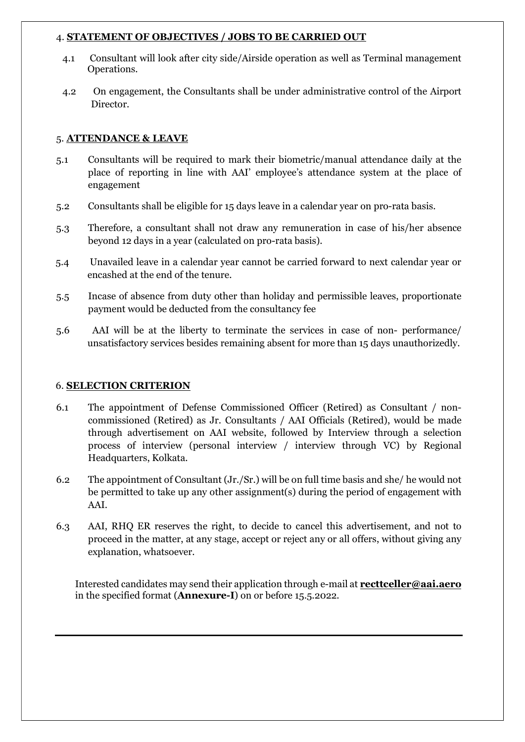#### 4. STATEMENT OF OBJECTIVES / JOBS TO BE CARRIED OUT

- 4.1 Consultant will look after city side/Airside operation as well as Terminal management Operations.
- 4.2 On engagement, the Consultants shall be under administrative control of the Airport Director.

### 5. ATTENDANCE & LEAVE

- 5.1 Consultants will be required to mark their biometric/manual attendance daily at the place of reporting in line with AAI' employee's attendance system at the place of engagement
- 5.2 Consultants shall be eligible for 15 days leave in a calendar year on pro-rata basis.
- 5.3 Therefore, a consultant shall not draw any remuneration in case of his/her absence beyond 12 days in a year (calculated on pro-rata basis).
- 5.4 Unavailed leave in a calendar year cannot be carried forward to next calendar year or encashed at the end of the tenure.
- 5.5 Incase of absence from duty other than holiday and permissible leaves, proportionate payment would be deducted from the consultancy fee
- 5.6 AAI will be at the liberty to terminate the services in case of non- performance/ unsatisfactory services besides remaining absent for more than 15 days unauthorizedly.

#### 6. SELECTION CRITERION

- 6.1 The appointment of Defense Commissioned Officer (Retired) as Consultant / noncommissioned (Retired) as Jr. Consultants / AAI Officials (Retired), would be made through advertisement on AAI website, followed by Interview through a selection process of interview (personal interview / interview through VC) by Regional Headquarters, Kolkata.
- 6.2 The appointment of Consultant (Jr./Sr.) will be on full time basis and she/ he would not be permitted to take up any other assignment(s) during the period of engagement with AAI.
- 6.3 AAI, RHQ ER reserves the right, to decide to cancel this advertisement, and not to proceed in the matter, at any stage, accept or reject any or all offers, without giving any explanation, whatsoever.

Interested candidates may send their application through e-mail at **recttceller@aai.aero** in the specified format (Annexure-I) on or before 15.5.2022.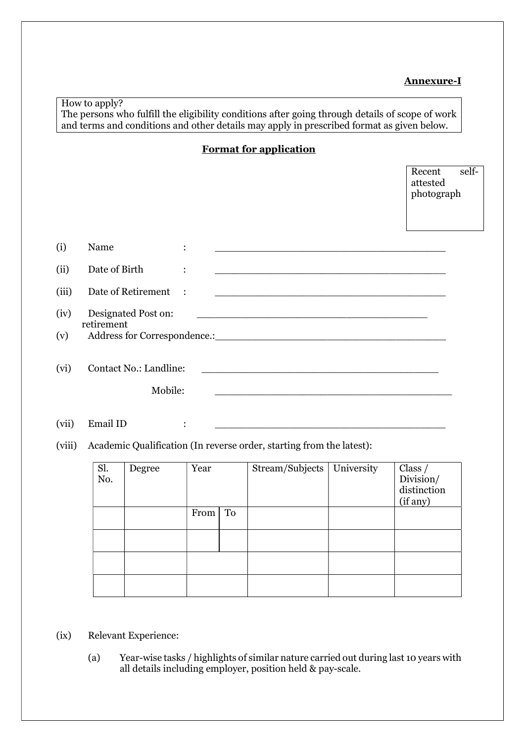# Annexure-I

# How to apply?

The persons who fulfill the eligibility conditions after going through details of scope of work and terms and conditions and other details may apply in prescribed format as given below.

Format for application

|             |                                                                                                                                                                                                                                                                     |                |  |                                                                                                                       |                                                                                                                        | Recent<br>attested<br>photograph | self- |
|-------------|---------------------------------------------------------------------------------------------------------------------------------------------------------------------------------------------------------------------------------------------------------------------|----------------|--|-----------------------------------------------------------------------------------------------------------------------|------------------------------------------------------------------------------------------------------------------------|----------------------------------|-------|
| (i)         | Name                                                                                                                                                                                                                                                                | $\ddot{\cdot}$ |  |                                                                                                                       | <u> 1990 - Johann John Harry Harry Harry Harry Harry Harry Harry Harry Harry Harry Harry Harry Harry Harry Harry H</u> |                                  |       |
| (ii)        | Date of Birth                                                                                                                                                                                                                                                       | $\ddot{\cdot}$ |  |                                                                                                                       |                                                                                                                        |                                  |       |
| (iii)       | Date of Retirement                                                                                                                                                                                                                                                  | $\mathbb{R}^2$ |  |                                                                                                                       | <u> 1980 - Johann Johann Stoff, deutscher Stoffen und der Stoffen und der Stoffen und der Stoffen und der Stoffen</u>  |                                  |       |
| (iv)<br>(v) | Designated Post on:<br>retirement<br>Address for Correspondence.: CONSERVING THE CONSERVERT OF THE CONSERVERT OF THE CONSERVERT OF THE CONSERVERT OF THE CONSERVERT OF THE CONSERVERT OF THE CONSERVERT OF THE CONSERVERT OF THE CONSERVERT OF THE CONSERVERT OF TH |                |  | <u> 2000 - Jan James Barnett, marrar et al. 1980 - 1980 - 1980 - 1980 - 1980 - 1980 - 1980 - 1980 - 1980 - 1980 -</u> |                                                                                                                        |                                  |       |
| (vi)        | Contact No.: Landline:<br>Mobile:                                                                                                                                                                                                                                   |                |  |                                                                                                                       |                                                                                                                        |                                  |       |

- (vii) Email ID  $\qquad : \qquad \qquad$
- (viii) Academic Qualification (In reverse order, starting from the latest):

| Sl.<br>No. | Degree | Year |    | Stream/Subjects | University | Class $/$<br>Division/ |
|------------|--------|------|----|-----------------|------------|------------------------|
|            |        |      |    |                 |            | distinction            |
|            |        |      |    |                 |            | (if any)               |
|            |        | From | To |                 |            |                        |
|            |        |      |    |                 |            |                        |
|            |        |      |    |                 |            |                        |
|            |        |      |    |                 |            |                        |
|            |        |      |    |                 |            |                        |
|            |        |      |    |                 |            |                        |
|            |        |      |    |                 |            |                        |

(ix) Relevant Experience:

(a) Year-wise tasks / highlights of similar nature carried out during last 10 years with all details including employer, position held & pay-scale.